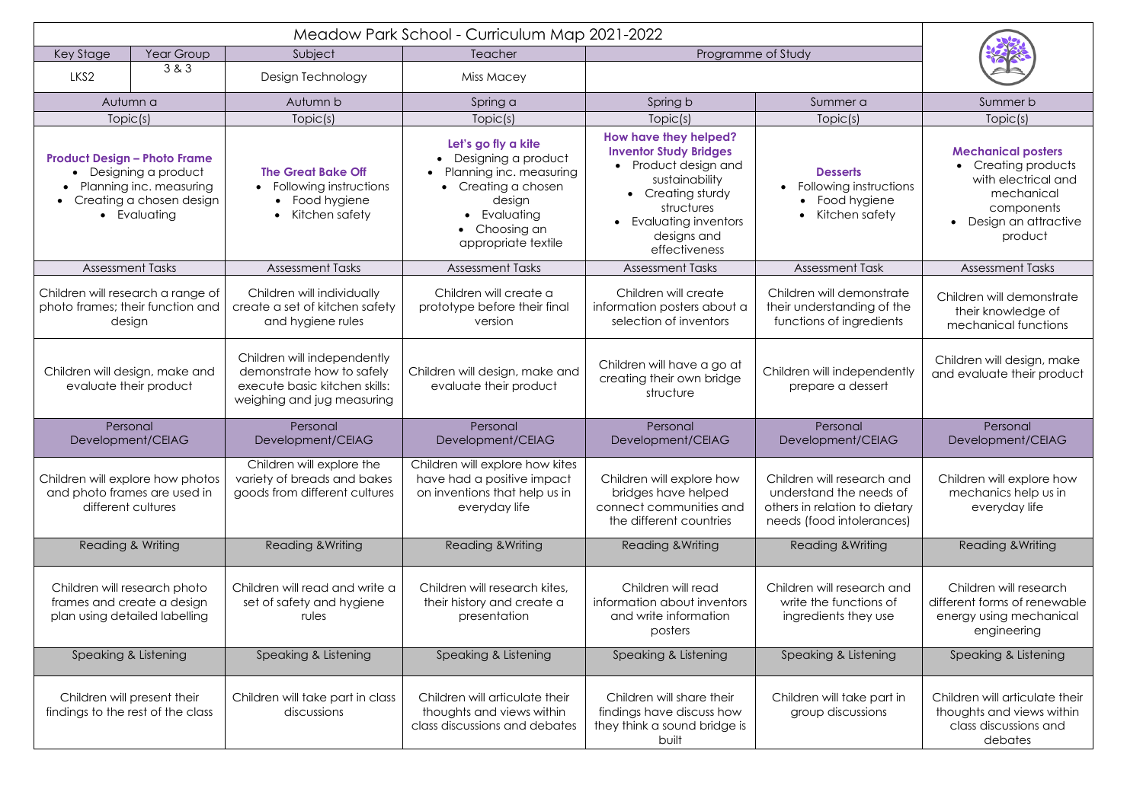| Key Stage                                                                                                                           | Year Group<br>Subject |                                                                                                                         | Teacher                                                                                                                                                      | Programme of Study                                                                                                                                                                             |                                                                                                                     |                                                                                                                                                     |  |
|-------------------------------------------------------------------------------------------------------------------------------------|-----------------------|-------------------------------------------------------------------------------------------------------------------------|--------------------------------------------------------------------------------------------------------------------------------------------------------------|------------------------------------------------------------------------------------------------------------------------------------------------------------------------------------------------|---------------------------------------------------------------------------------------------------------------------|-----------------------------------------------------------------------------------------------------------------------------------------------------|--|
| LKS <sub>2</sub>                                                                                                                    | 3 & 3                 | Design Technology                                                                                                       | <b>Miss Macey</b>                                                                                                                                            |                                                                                                                                                                                                |                                                                                                                     |                                                                                                                                                     |  |
| Autumn a                                                                                                                            |                       | Autumn b                                                                                                                | Spring a                                                                                                                                                     | Spring b                                                                                                                                                                                       | Summer a                                                                                                            | Summer b                                                                                                                                            |  |
| Topic(s)                                                                                                                            |                       | Topic(s)                                                                                                                | Topic(s)                                                                                                                                                     | Topic(s)                                                                                                                                                                                       | Topic(s)                                                                                                            | Topic(s)                                                                                                                                            |  |
| <b>Product Design - Photo Frame</b><br>• Designing a product<br>Planning inc. measuring<br>Creating a chosen design<br>• Evaluating |                       | <b>The Great Bake Off</b><br>• Following instructions<br>Food hygiene<br>$\bullet$<br>Kitchen safety<br>$\bullet$       | Let's go fly a kite<br>Designing a product<br>Planning inc. measuring<br>• Creating a chosen<br>design<br>• Evaluating<br>Choosing an<br>appropriate textile | How have they helped?<br><b>Inventor Study Bridges</b><br>Product design and<br>sustainability<br>Creating sturdy<br>structures<br><b>Evaluating inventors</b><br>designs and<br>effectiveness | <b>Desserts</b><br>Following instructions<br>Food hygiene<br>Kitchen safety                                         | <b>Mechanical posters</b><br>Creating products<br>$\bullet$<br>with electrical and<br>mechanical<br>components<br>• Design an attractive<br>product |  |
| <b>Assessment Tasks</b>                                                                                                             |                       | <b>Assessment Tasks</b>                                                                                                 | <b>Assessment Tasks</b>                                                                                                                                      | <b>Assessment Tasks</b>                                                                                                                                                                        | <b>Assessment Task</b>                                                                                              | <b>Assessment Tasks</b>                                                                                                                             |  |
| Children will research a range of<br>photo frames; their function and<br>design                                                     |                       | Children will individually<br>create a set of kitchen safety<br>and hygiene rules                                       | Children will create a<br>prototype before their final<br>version                                                                                            | Children will create<br>information posters about a<br>selection of inventors                                                                                                                  | Children will demonstrate<br>their understanding of the<br>functions of ingredients                                 | Children will demonstrate<br>their knowledge of<br>mechanical functions                                                                             |  |
| Children will design, make and<br>evaluate their product                                                                            |                       | Children will independently<br>demonstrate how to safely<br>execute basic kitchen skills:<br>weighing and jug measuring | Children will design, make and<br>evaluate their product                                                                                                     | Children will have a go at<br>creating their own bridge<br>structure                                                                                                                           | Children will independently<br>prepare a dessert                                                                    | Children will design, make<br>and evaluate their product                                                                                            |  |
| Personal<br>Development/CEIAG                                                                                                       |                       | Personal<br>Development/CEIAG                                                                                           | Personal<br>Development/CEIAG                                                                                                                                | Personal<br>Development/CEIAG                                                                                                                                                                  | Personal<br>Development/CEIAG                                                                                       | Personal<br>Development/CEIAG                                                                                                                       |  |
| Children will explore how photos<br>and photo frames are used in<br>different cultures                                              |                       | Children will explore the<br>variety of breads and bakes<br>goods from different cultures                               | Children will explore how kites<br>have had a positive impact<br>on inventions that help us in<br>everyday life                                              | Children will explore how<br>bridges have helped<br>connect communities and<br>the different countries                                                                                         | Children will research and<br>understand the needs of<br>others in relation to dietary<br>needs (food intolerances) | Children will explore how<br>mechanics help us in<br>everyday life                                                                                  |  |
| <b>Reading &amp; Writing</b>                                                                                                        |                       | Reading & Writing                                                                                                       | <b>Reading &amp; Writing</b>                                                                                                                                 | <b>Reading &amp; Writing</b>                                                                                                                                                                   | <b>Reading &amp; Writing</b>                                                                                        | <b>Reading &amp; Writing</b>                                                                                                                        |  |
| Children will research photo<br>frames and create a design<br>plan using detailed labelling                                         |                       | Children will read and write a<br>set of safety and hygiene<br>rules                                                    | Children will research kites,<br>their history and create a<br>presentation                                                                                  | Children will read<br>information about inventors<br>and write information<br>posters                                                                                                          | Children will research and<br>write the functions of<br>ingredients they use                                        | Children will research<br>different forms of renewable<br>energy using mechanical<br>engineering                                                    |  |
| Speaking & Listening                                                                                                                |                       | Speaking & Listening                                                                                                    | Speaking & Listening                                                                                                                                         | Speaking & Listening                                                                                                                                                                           | Speaking & Listening                                                                                                | Speaking & Listening                                                                                                                                |  |
| Children will present their<br>findings to the rest of the class                                                                    |                       | Children will take part in class<br>discussions                                                                         | Children will articulate their<br>thoughts and views within<br>class discussions and debates                                                                 | Children will share their<br>findings have discuss how<br>they think a sound bridge is<br>built                                                                                                | Children will take part in<br>group discussions                                                                     | Children will articulate their<br>thoughts and views within<br>class discussions and<br>debates                                                     |  |